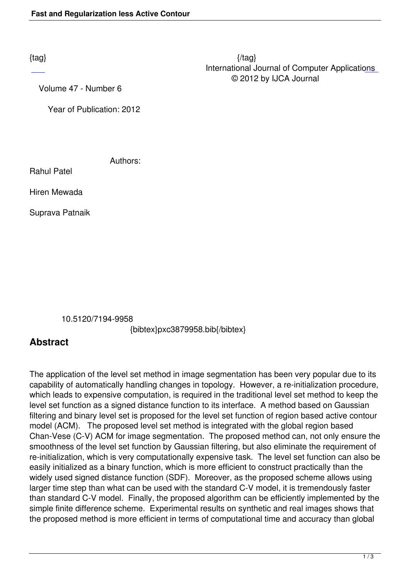Volume 47 - Number 6

Year of Publication: 2012

Authors:

Rahul Patel

Hiren Mewada

Suprava Patnaik

10.5120/7194-9958

{bibtex}pxc3879958.bib{/bibtex}

## **Abstract**

The application of the level set method in image segmentation has been very popular due to its capability of automatically handling changes in topology. However, a re-initialization procedure, which leads to expensive computation, is required in the traditional level set method to keep the level set function as a signed distance function to its interface. A method based on Gaussian filtering and binary level set is proposed for the level set function of region based active contour model (ACM). The proposed level set method is integrated with the global region based Chan-Vese (C-V) ACM for image segmentation. The proposed method can, not only ensure the smoothness of the level set function by Gaussian filtering, but also eliminate the requirement of re-initialization, which is very computationally expensive task. The level set function can also be easily initialized as a binary function, which is more efficient to construct practically than the widely used signed distance function (SDF). Moreover, as the proposed scheme allows using larger time step than what can be used with the standard C-V model, it is tremendously faster than standard C-V model. Finally, the proposed algorithm can be efficiently implemented by the simple finite difference scheme. Experimental results on synthetic and real images shows that the proposed method is more efficient in terms of computational time and accuracy than global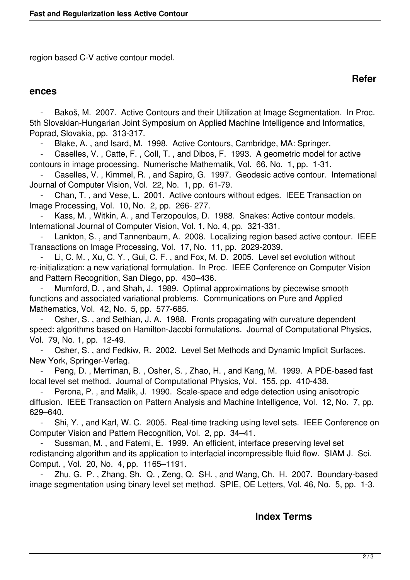region based C-V active contour model.

## **ences**

Bakoš, M. 2007. Active Contours and their Utilization at Image Segmentation. In Proc. 5th Slovakian-Hungarian Joint Symposium on Applied Machine Intelligence and Informatics, Poprad, Slovakia, pp. 313-317.

**Refer**

Blake, A., and Isard, M. 1998. Active Contours, Cambridge, MA: Springer.

Caselles, V., Catte, F., Coll, T., and Dibos, F. 1993. A geometric model for active contours in image processing. Numerische Mathematik, Vol. 66, No. 1, pp. 1-31.

Caselles, V., Kimmel, R., and Sapiro, G. 1997. Geodesic active contour. International Journal of Computer Vision, Vol. 22, No. 1, pp. 61-79.

Chan, T., and Vese, L. 2001. Active contours without edges. IEEE Transaction on Image Processing, Vol. 10, No. 2, pp. 266- 277.

Kass, M., Witkin, A., and Terzopoulos, D. 1988. Snakes: Active contour models. International Journal of Computer Vision, Vol. 1, No. 4, pp. 321-331.

Lankton, S., and Tannenbaum, A. 2008. Localizing region based active contour. IEEE Transactions on Image Processing, Vol. 17, No. 11, pp. 2029-2039.

Li, C. M., Xu, C. Y., Gui, C. F., and Fox, M. D. 2005. Level set evolution without re-initialization: a new variational formulation. In Proc. IEEE Conference on Computer Vision and Pattern Recognition, San Diego, pp. 430–436.

Mumford, D., and Shah, J. 1989. Optimal approximations by piecewise smooth functions and associated variational problems. Communications on Pure and Applied Mathematics, Vol. 42, No. 5, pp. 577-685.

Osher, S., and Sethian, J. A. 1988. Fronts propagating with curvature dependent speed: algorithms based on Hamilton-Jacobi formulations. Journal of Computational Physics, Vol. 79, No. 1, pp. 12-49.

 - Osher, S. , and Fedkiw, R. 2002. Level Set Methods and Dynamic Implicit Surfaces. New York, Springer-Verlag.

Peng, D., Merriman, B., Osher, S., Zhao, H., and Kang, M. 1999. A PDE-based fast local level set method. Journal of Computational Physics, Vol. 155, pp. 410-438.

Perona, P., and Malik, J. 1990. Scale-space and edge detection using anisotropic diffusion. IEEE Transaction on Pattern Analysis and Machine Intelligence, Vol. 12, No. 7, pp. 629–640.

 - Shi, Y. , and Karl, W. C. 2005. Real-time tracking using level sets. IEEE Conference on Computer Vision and Pattern Recognition, Vol. 2, pp. 34–41.

Sussman, M., and Fatemi, E. 1999. An efficient, interface preserving level set redistancing algorithm and its application to interfacial incompressible fluid flow. SIAM J. Sci. Comput. , Vol. 20, No. 4, pp. 1165–1191.

Zhu, G. P., Zhang, Sh. Q., Zeng, Q. SH., and Wang, Ch. H. 2007. Boundary-based image segmentation using binary level set method. SPIE, OE Letters, Vol. 46, No. 5, pp. 1-3.

## **Index Terms**